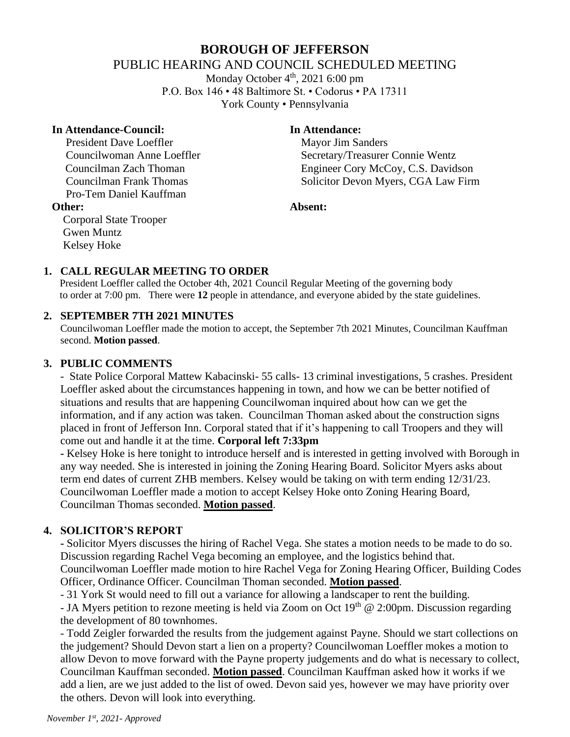# **BOROUGH OF JEFFERSON** PUBLIC HEARING AND COUNCIL SCHEDULED MEETING

Monday October 4<sup>th</sup>, 2021 6:00 pm P.O. Box 146 • 48 Baltimore St. • Codorus • PA 17311 York County • Pennsylvania

#### **In Attendance-Council: In Attendance:**

President Dave Loeffler Mayor Jim Sanders Pro-Tem Daniel Kauffman

Councilwoman Anne Loeffler Secretary/Treasurer Connie Wentz Councilman Zach Thoman Engineer Cory McCoy, C.S. Davidson Councilman Frank Thomas Solicitor Devon Myers, CGA Law Firm

#### **Other: Absent:**

Corporal State Trooper Gwen Muntz Kelsey Hoke

## **1. CALL REGULAR MEETING TO ORDER**

 President Loeffler called the October 4th, 2021 Council Regular Meeting of the governing body to order at 7:00 pm. There were **12** people in attendance, and everyone abided by the state guidelines.

## **2. SEPTEMBER 7TH 2021 MINUTES**

Councilwoman Loeffler made the motion to accept, the September 7th 2021 Minutes, Councilman Kauffman second. **Motion passed**.

## **3. PUBLIC COMMENTS**

- State Police Corporal Mattew Kabacinski- 55 calls- 13 criminal investigations, 5 crashes. President Loeffler asked about the circumstances happening in town, and how we can be better notified of situations and results that are happening Councilwoman inquired about how can we get the information, and if any action was taken. Councilman Thoman asked about the construction signs placed in front of Jefferson Inn. Corporal stated that if it's happening to call Troopers and they will come out and handle it at the time. **Corporal left 7:33pm**

**-** Kelsey Hoke is here tonight to introduce herself and is interested in getting involved with Borough in any way needed. She is interested in joining the Zoning Hearing Board. Solicitor Myers asks about term end dates of current ZHB members. Kelsey would be taking on with term ending 12/31/23. Councilwoman Loeffler made a motion to accept Kelsey Hoke onto Zoning Hearing Board, Councilman Thomas seconded. **Motion passed**.

## **4. SOLICITOR'S REPORT**

**-** Solicitor Myers discusses the hiring of Rachel Vega. She states a motion needs to be made to do so. Discussion regarding Rachel Vega becoming an employee, and the logistics behind that. Councilwoman Loeffler made motion to hire Rachel Vega for Zoning Hearing Officer, Building Codes

Officer, Ordinance Officer. Councilman Thoman seconded. **Motion passed**.

- 31 York St would need to fill out a variance for allowing a landscaper to rent the building.

- JA Myers petition to rezone meeting is held via Zoom on Oct  $19<sup>th</sup>$  @ 2:00pm. Discussion regarding the development of 80 townhomes.

- Todd Zeigler forwarded the results from the judgement against Payne. Should we start collections on the judgement? Should Devon start a lien on a property? Councilwoman Loeffler mokes a motion to allow Devon to move forward with the Payne property judgements and do what is necessary to collect, Councilman Kauffman seconded. **Motion passed**. Councilman Kauffman asked how it works if we add a lien, are we just added to the list of owed. Devon said yes, however we may have priority over the others. Devon will look into everything.